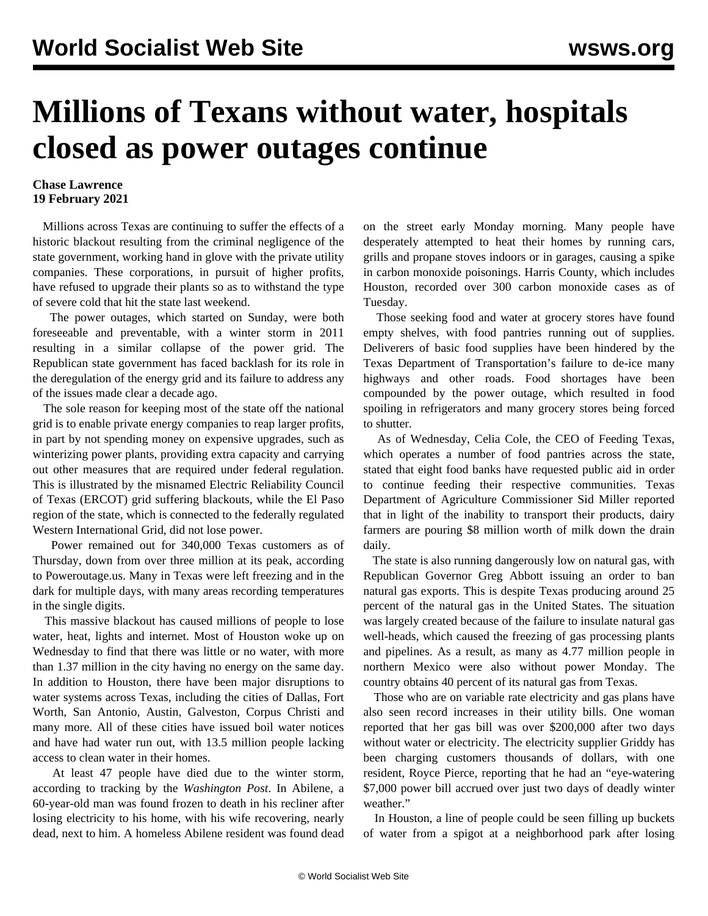## **Millions of Texans without water, hospitals closed as power outages continue**

## **Chase Lawrence 19 February 2021**

 Millions across Texas are continuing to suffer the effects of a historic blackout resulting from the criminal negligence of the state government, working hand in glove with the private utility companies. These corporations, in pursuit of higher profits, have refused to upgrade their plants so as to withstand the type of severe cold that hit the state last weekend.

 The power outages, which started on Sunday, were both foreseeable and preventable, with a winter storm in 2011 resulting in a similar collapse of the power grid. The Republican state government has faced backlash for its role in the deregulation of the energy grid and its failure to address any of the issues made clear a decade ago.

 The sole reason for keeping most of the state off the national grid is to enable private energy companies to reap larger profits, in part by not spending money on expensive upgrades, such as winterizing power plants, providing extra capacity and carrying out other measures that are required under federal regulation. This is illustrated by the misnamed Electric Reliability Council of Texas (ERCOT) grid suffering blackouts, while the El Paso region of the state, which is connected to the federally regulated Western International Grid, did not lose power.

 Power remained out for 340,000 Texas customers as of Thursday, down from over three million at its peak, according to Poweroutage.us. Many in Texas were left freezing and in the dark for multiple days, with many areas recording temperatures in the single digits.

 This massive blackout has caused millions of people to lose water, heat, lights and internet. Most of Houston woke up on Wednesday to find that there was little or no water, with more than 1.37 million in the city having no energy on the same day. In addition to Houston, there have been major disruptions to water systems across Texas, including the cities of Dallas, Fort Worth, San Antonio, Austin, Galveston, Corpus Christi and many more. All of these cities have issued boil water notices and have had water run out, with 13.5 million people lacking access to clean water in their homes.

 At least 47 people have died due to the winter storm, according to tracking by the *Washington Post*. In Abilene, a 60-year-old man was found frozen to death in his recliner after losing electricity to his home, with his wife recovering, nearly dead, next to him. A homeless Abilene resident was found dead on the street early Monday morning. Many people have desperately attempted to heat their homes by running cars, grills and propane stoves indoors or in garages, causing a spike in carbon monoxide poisonings. Harris County, which includes Houston, recorded over 300 carbon monoxide cases as of Tuesday.

 Those seeking food and water at grocery stores have found empty shelves, with food pantries running out of supplies. Deliverers of basic food supplies have been hindered by the Texas Department of Transportation's failure to de-ice many highways and other roads. Food shortages have been compounded by the power outage, which resulted in food spoiling in refrigerators and many grocery stores being forced to shutter.

 As of Wednesday, Celia Cole, the CEO of Feeding Texas, which operates a number of food pantries across the state, stated that eight food banks have requested public aid in order to continue feeding their respective communities. Texas Department of Agriculture Commissioner Sid Miller reported that in light of the inability to transport their products, dairy farmers are pouring \$8 million worth of milk down the drain daily.

 The state is also running dangerously low on natural gas, with Republican Governor Greg Abbott issuing an order to ban natural gas exports. This is despite Texas producing around 25 percent of the natural gas in the United States. The situation was largely created because of the failure to insulate natural gas well-heads, which caused the freezing of gas processing plants and pipelines. As a result, as many as 4.77 million people in northern Mexico were also without power Monday. The country obtains 40 percent of its natural gas from Texas.

 Those who are on variable rate electricity and gas plans have also seen record increases in their utility bills. One woman reported that her gas bill was over \$200,000 after two days without water or electricity. The electricity supplier Griddy has been charging customers thousands of dollars, with one resident, Royce Pierce, reporting that he had an "eye-watering \$7,000 power bill accrued over just two days of deadly winter weather."

 In Houston, a line of people could be seen filling up buckets of water from a spigot at a neighborhood park after losing